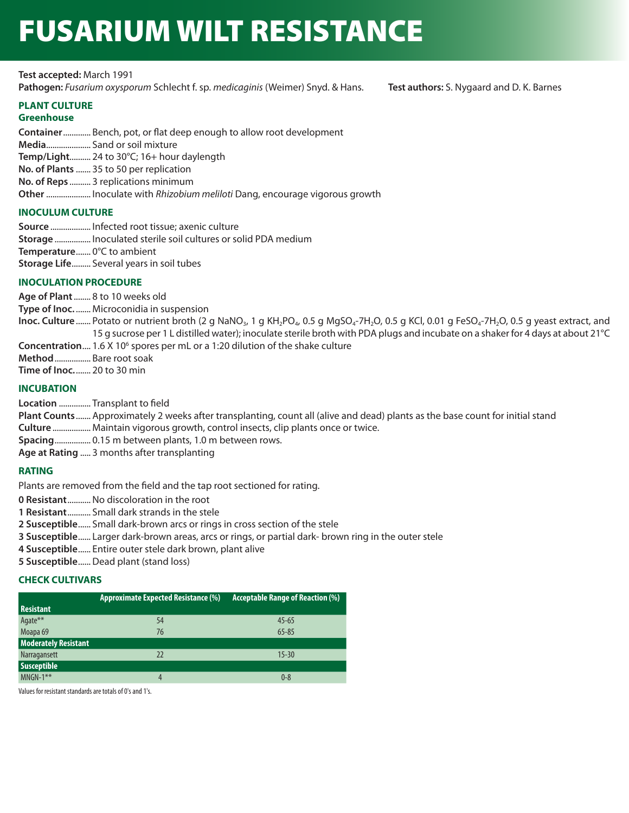# FUSARIUM WILT RESISTANCE

**Test accepted:** March 1991

**Pathogen:** *Fusarium oxysporum* Schlecht f. sp. *medicaginis* (Weimer) Snyd. & Hans. **Test authors:** S. Nygaard and D. K. Barnes

# **PLANT CULTURE**

## **Greenhouse**

**Container**............. Bench, pot, or flat deep enough to allow root development **Media**..................... Sand or soil mixture **Temp/Light**.......... 24 to 30°C; 16+ hour daylength **No. of Plants** ....... 35 to 50 per replication **No. of Reps** .......... 3 replications minimum **Other**..................... Inoculate with *Rhizobium meliloti* Dang, encourage vigorous growth

# **INOCULUM CULTURE**

**Source** ................... Infected root tissue; axenic culture **Storage** ................. Inoculated sterile soil cultures or solid PDA medium **Temperature**....... 0°C to ambient **Storage Life**......... Several years in soil tubes

## **INOCULATION PROCEDURE**

**Age of Plant**........ 8 to 10 weeks old **Type of Inoc.** ....... Microconidia in suspension Inoc. Culture ....... Potato or nutrient broth (2 g NaNO<sub>3</sub>, 1 g KH<sub>2</sub>PO<sub>4</sub>, 0.5 g MgSO<sub>4</sub>-7H<sub>2</sub>O, 0.5 g FeSO<sub>4</sub>-7H<sub>2</sub>O, 0.5 g yeast extract, and 15 g sucrose per 1 L distilled water); inoculate sterile broth with PDA plugs and incubate on a shaker for 4 days at about 21°C **Concentration....** 1.6 X 10<sup>6</sup> spores per mL or a 1:20 dilution of the shake culture **Method**................. Bare root soak **Time of Inoc.**....... 20 to 30 min

# **INCUBATION**

**Location** ............... Transplant to field

**Plant Counts**....... Approximately 2 weeks after transplanting, count all (alive and dead) plants as the base count for initial stand

**Culture** .................. Maintain vigorous growth, control insects, clip plants once or twice.

**Spacing**................. 0.15 m between plants, 1.0 m between rows.

**Age at Rating** ..... 3 months after transplanting

# **RATING**

Plants are removed from the field and the tap root sectioned for rating.

**0 Resistant**...........No discoloration in the root

- **1 Resistant**........... Small dark strands in the stele
- **2 Susceptible**...... Small dark-brown arcs or rings in cross section of the stele
- **3 Susceptible**...... Larger dark-brown areas, arcs or rings, or partial dark- brown ring in the outer stele
- **4 Susceptible**...... Entire outer stele dark brown, plant alive
- **5 Susceptible**......Dead plant (stand loss)

## **CHECK CULTIVARS**

|                             | <b>Approximate Expected Resistance (%)</b> | <b>Acceptable Range of Reaction (%)</b> |
|-----------------------------|--------------------------------------------|-----------------------------------------|
| <b>Resistant</b>            |                                            |                                         |
| Agate**                     | 54                                         | $45 - 65$                               |
| Moapa <sub>69</sub>         | 76                                         | $65 - 85$                               |
| <b>Moderately Resistant</b> |                                            |                                         |
| Narragansett                | 22                                         | $15 - 30$                               |
| <b>Susceptible</b>          |                                            |                                         |
| $MNGN-1***$                 | 4                                          | $0 - 8$                                 |

Values for resistant standards are totals of 0's and 1's.